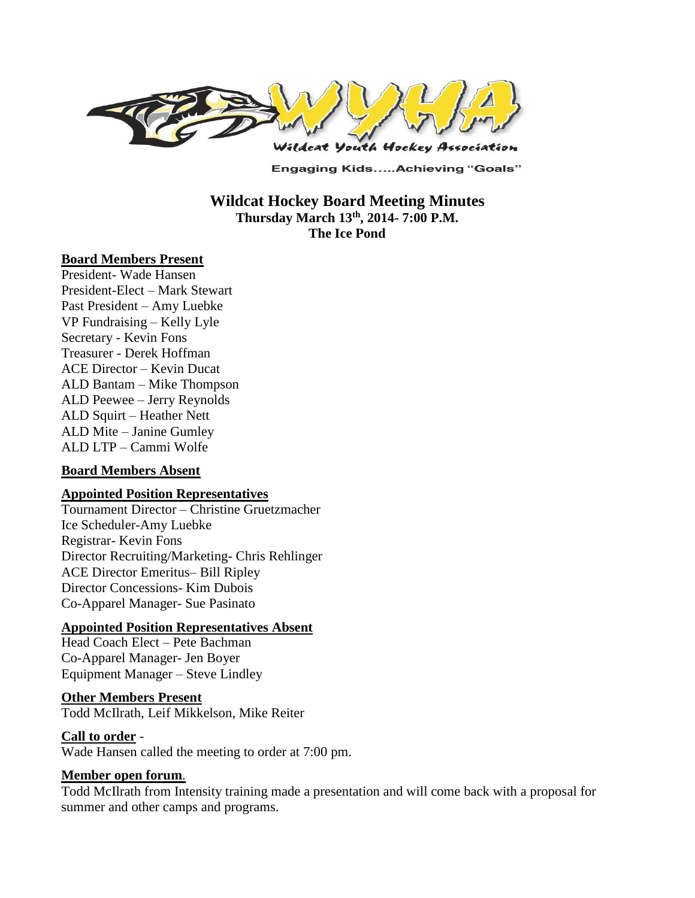

**Engaging Kids.....Achieving "Goals"** 

**Wildcat Hockey Board Meeting Minutes Thursday March 13th , 2014- 7:00 P.M. The Ice Pond**

#### **Board Members Present**

President- Wade Hansen President-Elect – Mark Stewart Past President – Amy Luebke VP Fundraising – Kelly Lyle Secretary - Kevin Fons Treasurer - Derek Hoffman ACE Director – Kevin Ducat ALD Bantam – Mike Thompson ALD Peewee – Jerry Reynolds ALD Squirt – Heather Nett ALD Mite – Janine Gumley ALD LTP – Cammi Wolfe

#### **Board Members Absent**

#### **Appointed Position Representatives**

Tournament Director – Christine Gruetzmacher Ice Scheduler-Amy Luebke Registrar- Kevin Fons Director Recruiting/Marketing- Chris Rehlinger ACE Director Emeritus– Bill Ripley Director Concessions- Kim Dubois Co-Apparel Manager- Sue Pasinato

#### **Appointed Position Representatives Absent**

Head Coach Elect – Pete Bachman Co-Apparel Manager- Jen Boyer Equipment Manager – Steve Lindley

#### **Other Members Present**

Todd McIlrath, Leif Mikkelson, Mike Reiter

#### **Call to order** -

Wade Hansen called the meeting to order at 7:00 pm.

#### **Member open forum**.

Todd McIlrath from Intensity training made a presentation and will come back with a proposal for summer and other camps and programs.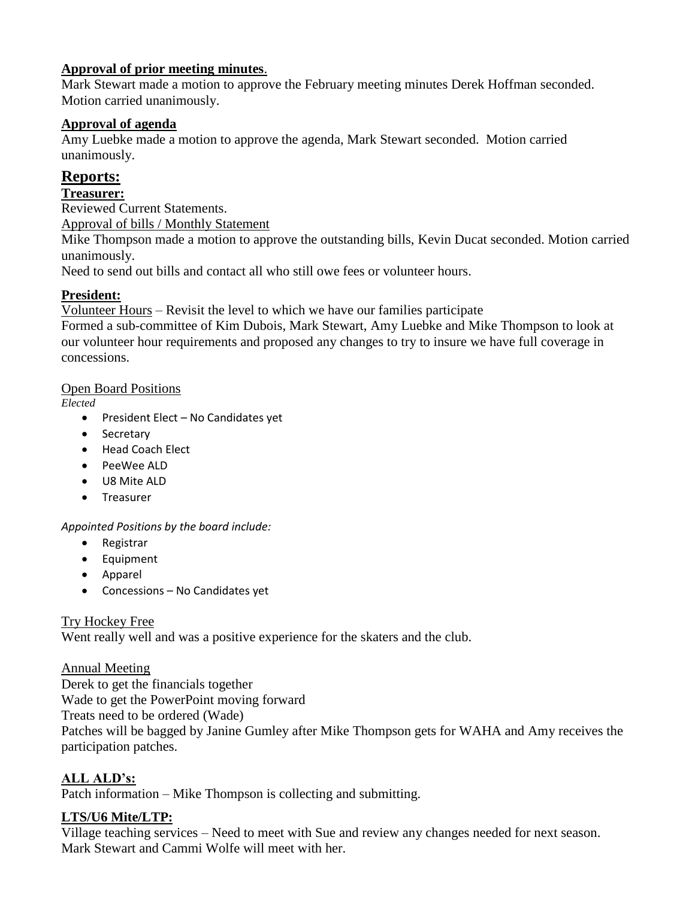# **Approval of prior meeting minutes**.

Mark Stewart made a motion to approve the February meeting minutes Derek Hoffman seconded. Motion carried unanimously.

### **Approval of agenda**

Amy Luebke made a motion to approve the agenda, Mark Stewart seconded. Motion carried unanimously.

# **Reports:**

## **Treasurer:**

Reviewed Current Statements.

Approval of bills / Monthly Statement

Mike Thompson made a motion to approve the outstanding bills, Kevin Ducat seconded. Motion carried unanimously.

Need to send out bills and contact all who still owe fees or volunteer hours.

# **President:**

Volunteer Hours – Revisit the level to which we have our families participate

Formed a sub-committee of Kim Dubois, Mark Stewart, Amy Luebke and Mike Thompson to look at our volunteer hour requirements and proposed any changes to try to insure we have full coverage in concessions.

### Open Board Positions

*Elected*

- President Elect No Candidates yet
- Secretary
- Head Coach Elect
- PeeWee ALD
- U8 Mite ALD
- **•** Treasurer

### *Appointed Positions by the board include:*

- Registrar
- Equipment
- Apparel
- Concessions No Candidates yet

### Try Hockey Free

Went really well and was a positive experience for the skaters and the club.

### Annual Meeting

Derek to get the financials together Wade to get the PowerPoint moving forward Treats need to be ordered (Wade) Patches will be bagged by Janine Gumley after Mike Thompson gets for WAHA and Amy receives the participation patches.

# **ALL ALD's:**

Patch information – Mike Thompson is collecting and submitting.

### **LTS/U6 Mite/LTP:**

Village teaching services – Need to meet with Sue and review any changes needed for next season. Mark Stewart and Cammi Wolfe will meet with her.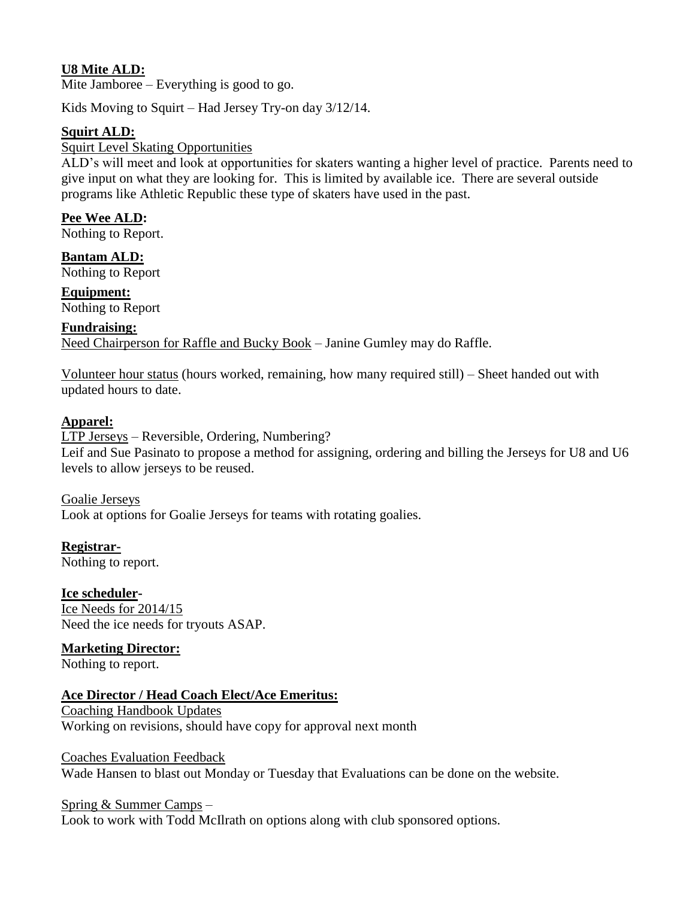## **U8 Mite ALD:**

Mite Jamboree – Everything is good to go.

Kids Moving to Squirt – Had Jersey Try-on day 3/12/14.

#### **Squirt ALD:**

#### Squirt Level Skating Opportunities

ALD's will meet and look at opportunities for skaters wanting a higher level of practice. Parents need to give input on what they are looking for. This is limited by available ice. There are several outside programs like Athletic Republic these type of skaters have used in the past.

# **Pee Wee ALD:**

Nothing to Report.

**Bantam ALD:**  Nothing to Report

**Equipment:**  Nothing to Report

# **Fundraising:**  Need Chairperson for Raffle and Bucky Book – Janine Gumley may do Raffle.

Volunteer hour status (hours worked, remaining, how many required still) – Sheet handed out with updated hours to date.

#### **Apparel:**

LTP Jerseys – Reversible, Ordering, Numbering? Leif and Sue Pasinato to propose a method for assigning, ordering and billing the Jerseys for U8 and U6 levels to allow jerseys to be reused.

Goalie Jerseys Look at options for Goalie Jerseys for teams with rotating goalies.

**Registrar-**Nothing to report.

**Ice scheduler-**Ice Needs for 2014/15 Need the ice needs for tryouts ASAP.

**Marketing Director:**

Nothing to report.

# **Ace Director / Head Coach Elect/Ace Emeritus:**

Coaching Handbook Updates Working on revisions, should have copy for approval next month

Coaches Evaluation Feedback Wade Hansen to blast out Monday or Tuesday that Evaluations can be done on the website.

#### Spring & Summer Camps –

Look to work with Todd McIlrath on options along with club sponsored options.